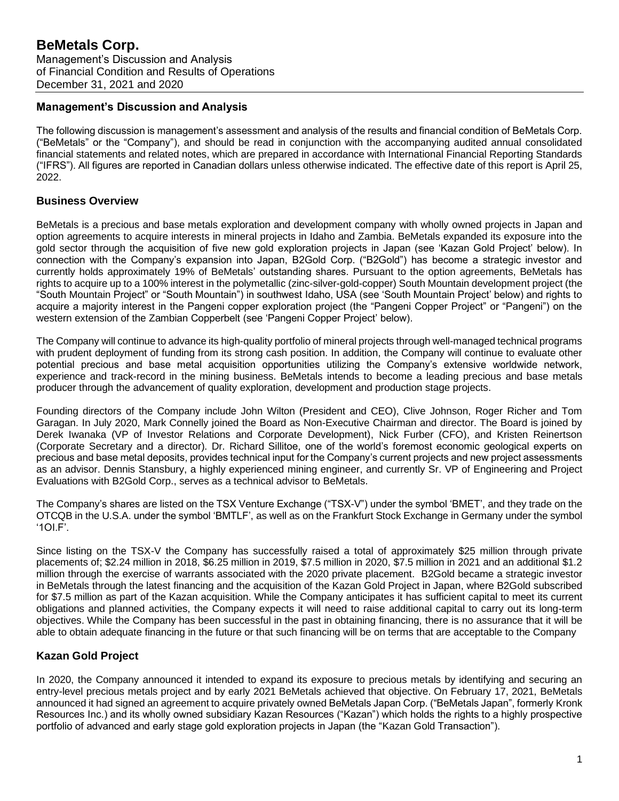## **Management's Discussion and Analysis**

The following discussion is management's assessment and analysis of the results and financial condition of BeMetals Corp. ("BeMetals" or the "Company"), and should be read in conjunction with the accompanying audited annual consolidated financial statements and related notes, which are prepared in accordance with International Financial Reporting Standards ("IFRS"). All figures are reported in Canadian dollars unless otherwise indicated. The effective date of this report is April 25, 2022.

# **Business Overview**

BeMetals is a precious and base metals exploration and development company with wholly owned projects in Japan and option agreements to acquire interests in mineral projects in Idaho and Zambia. BeMetals expanded its exposure into the gold sector through the acquisition of five new gold exploration projects in Japan (see 'Kazan Gold Project' below). In connection with the Company's expansion into Japan, B2Gold Corp. ("B2Gold") has become a strategic investor and currently holds approximately 19% of BeMetals' outstanding shares. Pursuant to the option agreements, BeMetals has rights to acquire up to a 100% interest in the polymetallic (zinc-silver-gold-copper) South Mountain development project (the "South Mountain Project" or "South Mountain") in southwest Idaho, USA (see 'South Mountain Project' below) and rights to acquire a majority interest in the Pangeni copper exploration project (the "Pangeni Copper Project" or "Pangeni") on the western extension of the Zambian Copperbelt (see 'Pangeni Copper Project' below).

The Company will continue to advance its high-quality portfolio of mineral projects through well-managed technical programs with prudent deployment of funding from its strong cash position. In addition, the Company will continue to evaluate other potential precious and base metal acquisition opportunities utilizing the Company's extensive worldwide network, experience and track-record in the mining business. BeMetals intends to become a leading precious and base metals producer through the advancement of quality exploration, development and production stage projects.

Founding directors of the Company include John Wilton (President and CEO), Clive Johnson, Roger Richer and Tom Garagan. In July 2020, Mark Connelly joined the Board as Non-Executive Chairman and director. The Board is joined by Derek Iwanaka (VP of Investor Relations and Corporate Development), Nick Furber (CFO), and Kristen Reinertson (Corporate Secretary and a director). Dr. Richard Sillitoe, one of the world's foremost economic geological experts on precious and base metal deposits, provides technical input for the Company's current projects and new project assessments as an advisor. Dennis Stansbury, a highly experienced mining engineer, and currently Sr. VP of Engineering and Project Evaluations with B2Gold Corp., serves as a technical advisor to BeMetals.

The Company's shares are listed on the TSX Venture Exchange ("TSX-V") under the symbol 'BMET', and they trade on the OTCQB in the U.S.A. under the symbol 'BMTLF', as well as on the Frankfurt Stock Exchange in Germany under the symbol '1OI.F'.

Since listing on the TSX-V the Company has successfully raised a total of approximately \$25 million through private placements of; \$2.24 million in 2018, \$6.25 million in 2019, \$7.5 million in 2020, \$7.5 million in 2021 and an additional \$1.2 million through the exercise of warrants associated with the 2020 private placement. B2Gold became a strategic investor in BeMetals through the latest financing and the acquisition of the Kazan Gold Project in Japan, where B2Gold subscribed for \$7.5 million as part of the Kazan acquisition. While the Company anticipates it has sufficient capital to meet its current obligations and planned activities, the Company expects it will need to raise additional capital to carry out its long-term objectives. While the Company has been successful in the past in obtaining financing, there is no assurance that it will be able to obtain adequate financing in the future or that such financing will be on terms that are acceptable to the Company

# **Kazan Gold Project**

In 2020, the Company announced it intended to expand its exposure to precious metals by identifying and securing an entry-level precious metals project and by early 2021 BeMetals achieved that objective. On February 17, 2021, BeMetals announced it had signed an agreement to acquire privately owned BeMetals Japan Corp. ("BeMetals Japan", formerly Kronk Resources Inc.) and its wholly owned subsidiary Kazan Resources ("Kazan") which holds the rights to a highly prospective portfolio of advanced and early stage gold exploration projects in Japan (the "Kazan Gold Transaction").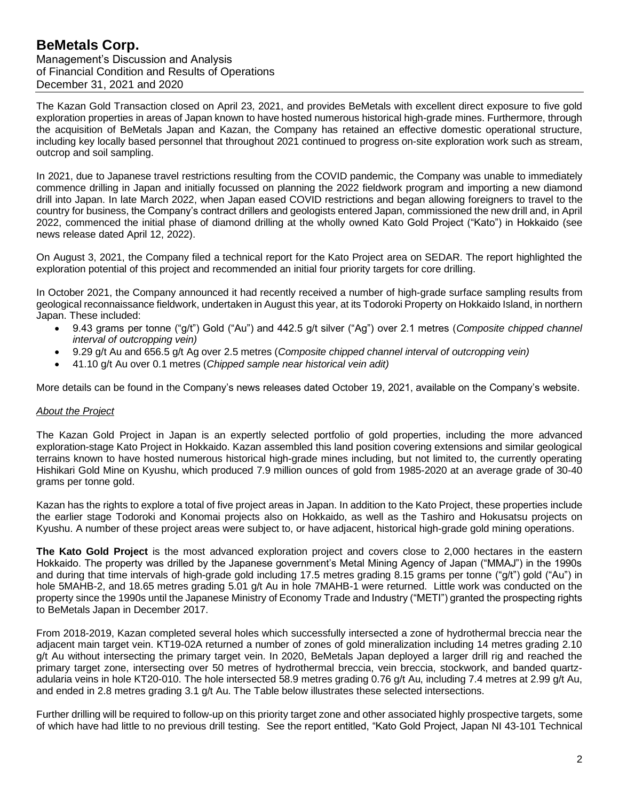The Kazan Gold Transaction closed on April 23, 2021, and provides BeMetals with excellent direct exposure to five gold exploration properties in areas of Japan known to have hosted numerous historical high-grade mines. Furthermore, through the acquisition of BeMetals Japan and Kazan, the Company has retained an effective domestic operational structure, including key locally based personnel that throughout 2021 continued to progress on-site exploration work such as stream, outcrop and soil sampling.

In 2021, due to Japanese travel restrictions resulting from the COVID pandemic, the Company was unable to immediately commence drilling in Japan and initially focussed on planning the 2022 fieldwork program and importing a new diamond drill into Japan. In late March 2022, when Japan eased COVID restrictions and began allowing foreigners to travel to the country for business, the Company's contract drillers and geologists entered Japan, commissioned the new drill and, in April 2022, commenced the initial phase of diamond drilling at the wholly owned Kato Gold Project ("Kato") in Hokkaido (see news release dated April 12, 2022).

On August 3, 2021, the Company filed a technical report for the Kato Project area on SEDAR. The report highlighted the exploration potential of this project and recommended an initial four priority targets for core drilling.

In October 2021, the Company announced it had recently received a number of high-grade surface sampling results from geological reconnaissance fieldwork, undertaken in August this year, at its Todoroki Property on Hokkaido Island, in northern Japan. These included:

- 9.43 grams per tonne ("g/t") Gold ("Au") and 442.5 g/t silver ("Ag") over 2.1 metres (*Composite chipped channel interval of outcropping vein)*
- 9.29 g/t Au and 656.5 g/t Ag over 2.5 metres (*Composite chipped channel interval of outcropping vein)*
- 41.10 g/t Au over 0.1 metres (*Chipped sample near historical vein adit)*

More details can be found in the Company's news releases dated October 19, 2021, available on the Company's website.

#### *About the Project*

The Kazan Gold Project in Japan is an expertly selected portfolio of gold properties, including the more advanced exploration-stage Kato Project in Hokkaido. Kazan assembled this land position covering extensions and similar geological terrains known to have hosted numerous historical high-grade mines including, but not limited to, the currently operating Hishikari Gold Mine on Kyushu, which produced 7.9 million ounces of gold from 1985-2020 at an average grade of 30-40 grams per tonne gold.

Kazan has the rights to explore a total of five project areas in Japan. In addition to the Kato Project, these properties include the earlier stage Todoroki and Konomai projects also on Hokkaido, as well as the Tashiro and Hokusatsu projects on Kyushu. A number of these project areas were subject to, or have adjacent, historical high-grade gold mining operations.

**The Kato Gold Project** is the most advanced exploration project and covers close to 2,000 hectares in the eastern Hokkaido. The property was drilled by the Japanese government's Metal Mining Agency of Japan ("MMAJ") in the 1990s and during that time intervals of high-grade gold including 17.5 metres grading 8.15 grams per tonne ("g/t") gold ("Au") in hole 5MAHB-2, and 18.65 metres grading 5.01 g/t Au in hole 7MAHB-1 were returned. Little work was conducted on the property since the 1990s until the Japanese Ministry of Economy Trade and Industry ("METI") granted the prospecting rights to BeMetals Japan in December 2017.

From 2018-2019, Kazan completed several holes which successfully intersected a zone of hydrothermal breccia near the adjacent main target vein. KT19-02A returned a number of zones of gold mineralization including 14 metres grading 2.10 g/t Au without intersecting the primary target vein. In 2020, BeMetals Japan deployed a larger drill rig and reached the primary target zone, intersecting over 50 metres of hydrothermal breccia, vein breccia, stockwork, and banded quartzadularia veins in hole KT20-010. The hole intersected 58.9 metres grading 0.76 g/t Au, including 7.4 metres at 2.99 g/t Au, and ended in 2.8 metres grading 3.1 g/t Au. The Table below illustrates these selected intersections.

Further drilling will be required to follow-up on this priority target zone and other associated highly prospective targets, some of which have had little to no previous drill testing. See the report entitled, "Kato Gold Project, Japan NI 43-101 Technical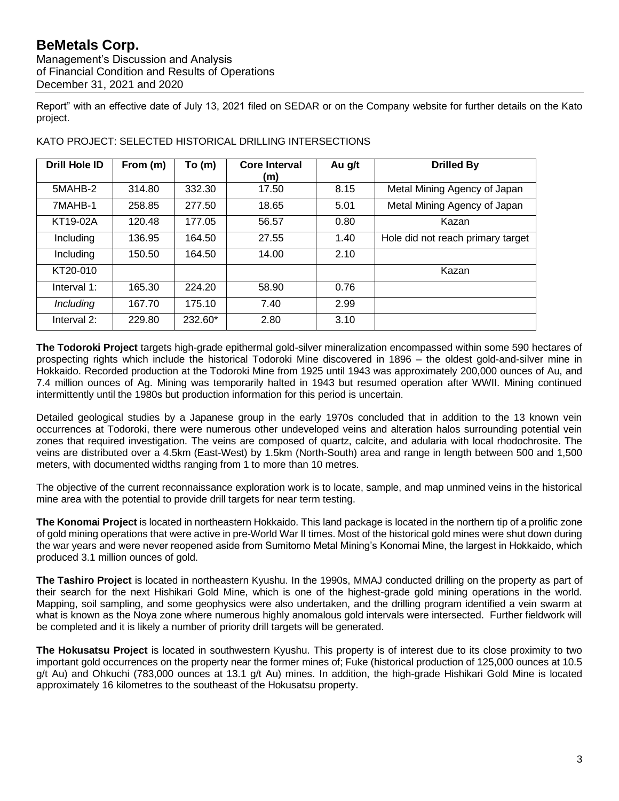Management's Discussion and Analysis of Financial Condition and Results of Operations December 31, 2021 and 2020

Report" with an effective date of July 13, 2021 filed on SEDAR or on the Company website for further details on the Kato project.

| <b>Drill Hole ID</b> | From (m) | To (m)  | <b>Core Interval</b><br>(m) | Au g/t | <b>Drilled By</b>                 |
|----------------------|----------|---------|-----------------------------|--------|-----------------------------------|
| 5MAHB-2              | 314.80   | 332.30  | 17.50                       | 8.15   | Metal Mining Agency of Japan      |
| 7MAHB-1              | 258.85   | 277.50  | 18.65                       | 5.01   | Metal Mining Agency of Japan      |
| KT19-02A             | 120.48   | 177.05  | 56.57                       | 0.80   | Kazan                             |
| Including            | 136.95   | 164.50  | 27.55                       | 1.40   | Hole did not reach primary target |
| Including            | 150.50   | 164.50  | 14.00                       | 2.10   |                                   |
| KT20-010             |          |         |                             |        | Kazan                             |
| Interval 1:          | 165.30   | 224.20  | 58.90                       | 0.76   |                                   |
| Including            | 167.70   | 175.10  | 7.40                        | 2.99   |                                   |
| Interval 2:          | 229.80   | 232.60* | 2.80                        | 3.10   |                                   |

KATO PROJECT: SELECTED HISTORICAL DRILLING INTERSECTIONS

**The Todoroki Project** targets high-grade epithermal gold-silver mineralization encompassed within some 590 hectares of prospecting rights which include the historical Todoroki Mine discovered in 1896 – the oldest gold-and-silver mine in Hokkaido. Recorded production at the Todoroki Mine from 1925 until 1943 was approximately 200,000 ounces of Au, and 7.4 million ounces of Ag. Mining was temporarily halted in 1943 but resumed operation after WWII. Mining continued intermittently until the 1980s but production information for this period is uncertain.

Detailed geological studies by a Japanese group in the early 1970s concluded that in addition to the 13 known vein occurrences at Todoroki, there were numerous other undeveloped veins and alteration halos surrounding potential vein zones that required investigation. The veins are composed of quartz, calcite, and adularia with local rhodochrosite. The veins are distributed over a 4.5km (East-West) by 1.5km (North-South) area and range in length between 500 and 1,500 meters, with documented widths ranging from 1 to more than 10 metres.

The objective of the current reconnaissance exploration work is to locate, sample, and map unmined veins in the historical mine area with the potential to provide drill targets for near term testing.

**The Konomai Project** is located in northeastern Hokkaido. This land package is located in the northern tip of a prolific zone of gold mining operations that were active in pre-World War II times. Most of the historical gold mines were shut down during the war years and were never reopened aside from Sumitomo Metal Mining's Konomai Mine, the largest in Hokkaido, which produced 3.1 million ounces of gold.

**The Tashiro Project** is located in northeastern Kyushu. In the 1990s, MMAJ conducted drilling on the property as part of their search for the next Hishikari Gold Mine, which is one of the highest-grade gold mining operations in the world. Mapping, soil sampling, and some geophysics were also undertaken, and the drilling program identified a vein swarm at what is known as the Noya zone where numerous highly anomalous gold intervals were intersected. Further fieldwork will be completed and it is likely a number of priority drill targets will be generated.

**The Hokusatsu Project** is located in southwestern Kyushu. This property is of interest due to its close proximity to two important gold occurrences on the property near the former mines of; Fuke (historical production of 125,000 ounces at 10.5 g/t Au) and Ohkuchi (783,000 ounces at 13.1 g/t Au) mines. In addition, the high-grade Hishikari Gold Mine is located approximately 16 kilometres to the southeast of the Hokusatsu property.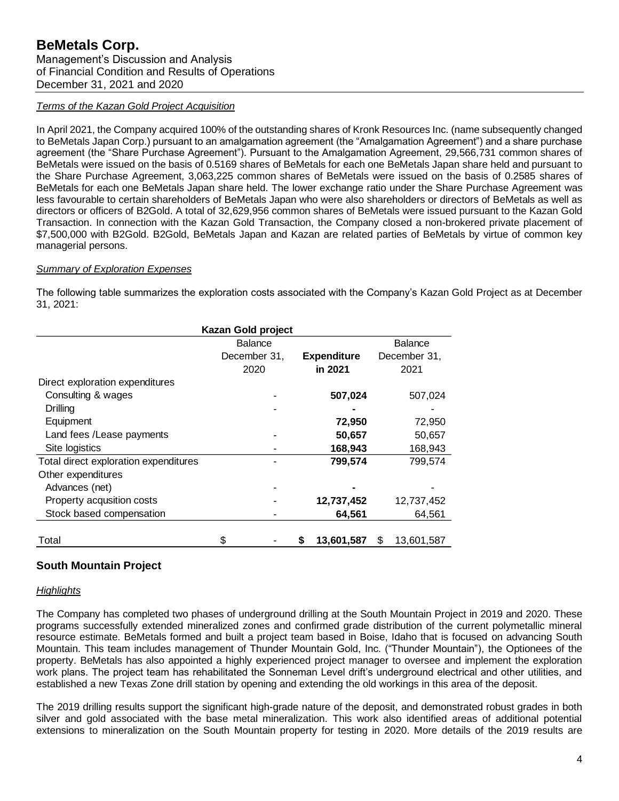#### *Terms of the Kazan Gold Project Acquisition*

In April 2021, the Company acquired 100% of the outstanding shares of Kronk Resources Inc. (name subsequently changed to BeMetals Japan Corp.) pursuant to an amalgamation agreement (the "Amalgamation Agreement") and a share purchase agreement (the "Share Purchase Agreement"). Pursuant to the Amalgamation Agreement, 29,566,731 common shares of BeMetals were issued on the basis of 0.5169 shares of BeMetals for each one BeMetals Japan share held and pursuant to the Share Purchase Agreement, 3,063,225 common shares of BeMetals were issued on the basis of 0.2585 shares of BeMetals for each one BeMetals Japan share held. The lower exchange ratio under the Share Purchase Agreement was less favourable to certain shareholders of BeMetals Japan who were also shareholders or directors of BeMetals as well as directors or officers of B2Gold. A total of 32,629,956 common shares of BeMetals were issued pursuant to the Kazan Gold Transaction. In connection with the Kazan Gold Transaction, the Company closed a non-brokered private placement of \$7,500,000 with B2Gold. B2Gold, BeMetals Japan and Kazan are related parties of BeMetals by virtue of common key managerial persons.

#### *Summary of Exploration Expenses*

The following table summarizes the exploration costs associated with the Company's Kazan Gold Project as at December 31, 2021:

| Kazan Gold project                    |                                    |   |            |    |              |  |
|---------------------------------------|------------------------------------|---|------------|----|--------------|--|
|                                       | <b>Balance</b>                     |   |            |    | Balance      |  |
|                                       | December 31,<br><b>Expenditure</b> |   |            |    | December 31, |  |
|                                       | 2020                               |   | in 2021    |    | 2021         |  |
| Direct exploration expenditures       |                                    |   |            |    |              |  |
| Consulting & wages                    |                                    |   | 507,024    |    | 507,024      |  |
| Drilling                              |                                    |   |            |    |              |  |
| Equipment                             |                                    |   | 72,950     |    | 72,950       |  |
| Land fees / Lease payments            |                                    |   | 50,657     |    | 50,657       |  |
| Site logistics                        |                                    |   | 168,943    |    | 168,943      |  |
| Total direct exploration expenditures |                                    |   | 799,574    |    | 799,574      |  |
| Other expenditures                    |                                    |   |            |    |              |  |
| Advances (net)                        |                                    |   |            |    |              |  |
| Property acqusition costs             |                                    |   | 12,737,452 |    | 12,737,452   |  |
| Stock based compensation              |                                    |   | 64,561     |    | 64,561       |  |
|                                       |                                    |   |            |    |              |  |
| Total                                 | \$                                 | S | 13,601,587 | \$ | 13,601,587   |  |

## **South Mountain Project**

#### *Highlights*

The Company has completed two phases of underground drilling at the South Mountain Project in 2019 and 2020. These programs successfully extended mineralized zones and confirmed grade distribution of the current polymetallic mineral resource estimate. BeMetals formed and built a project team based in Boise, Idaho that is focused on advancing South Mountain. This team includes management of Thunder Mountain Gold, Inc. ("Thunder Mountain"), the Optionees of the property. BeMetals has also appointed a highly experienced project manager to oversee and implement the exploration work plans. The project team has rehabilitated the Sonneman Level drift's underground electrical and other utilities, and established a new Texas Zone drill station by opening and extending the old workings in this area of the deposit.

The 2019 drilling results support the significant high-grade nature of the deposit, and demonstrated robust grades in both silver and gold associated with the base metal mineralization. This work also identified areas of additional potential extensions to mineralization on the South Mountain property for testing in 2020. More details of the 2019 results are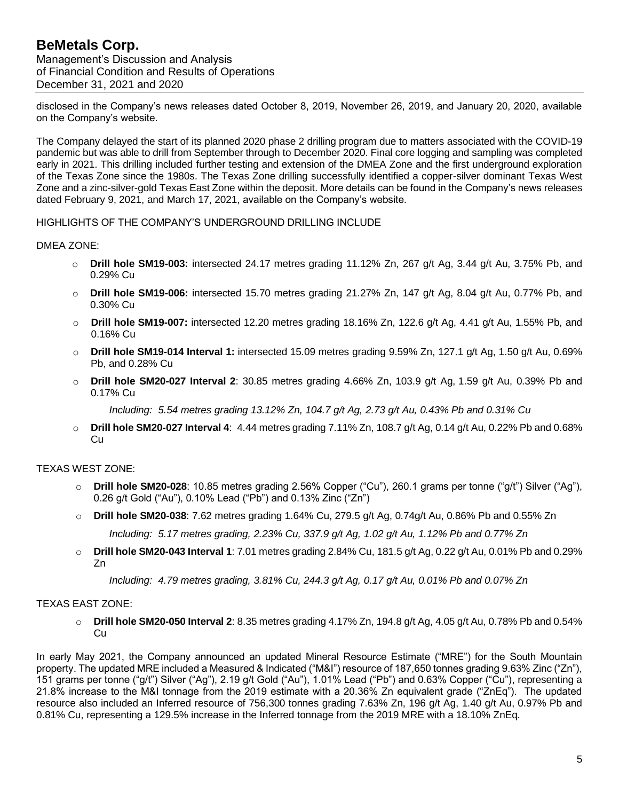disclosed in the Company's news releases dated October 8, 2019, November 26, 2019, and January 20, 2020, available on the Company's website.

The Company delayed the start of its planned 2020 phase 2 drilling program due to matters associated with the COVID-19 pandemic but was able to drill from September through to December 2020. Final core logging and sampling was completed early in 2021. This drilling included further testing and extension of the DMEA Zone and the first underground exploration of the Texas Zone since the 1980s. The Texas Zone drilling successfully identified a copper-silver dominant Texas West Zone and a zinc-silver-gold Texas East Zone within the deposit. More details can be found in the Company's news releases dated February 9, 2021, and March 17, 2021, available on the Company's website.

### HIGHLIGHTS OF THE COMPANY'S UNDERGROUND DRILLING INCLUDE

#### DMEA ZONE:

- o **Drill hole SM19-003:** intersected 24.17 metres grading 11.12% Zn, 267 g/t Ag, 3.44 g/t Au, 3.75% Pb, and 0.29% Cu
- o **Drill hole SM19-006:** intersected 15.70 metres grading 21.27% Zn, 147 g/t Ag, 8.04 g/t Au, 0.77% Pb, and 0.30% Cu
- o **Drill hole SM19-007:** intersected 12.20 metres grading 18.16% Zn, 122.6 g/t Ag, 4.41 g/t Au, 1.55% Pb, and 0.16% Cu
- o **Drill hole SM19-014 Interval 1:** intersected 15.09 metres grading 9.59% Zn, 127.1 g/t Ag, 1.50 g/t Au, 0.69% Pb, and 0.28% Cu
- o **Drill hole SM20-027 Interval 2**: 30.85 metres grading 4.66% Zn, 103.9 g/t Ag, 1.59 g/t Au, 0.39% Pb and 0.17% Cu
	- *Including: 5.54 metres grading 13.12% Zn, 104.7 g/t Ag, 2.73 g/t Au, 0.43% Pb and 0.31% Cu*
- o **Drill hole SM20-027 Interval 4**: 4.44 metres grading 7.11% Zn, 108.7 g/t Ag, 0.14 g/t Au, 0.22% Pb and 0.68% Cu

#### TEXAS WEST ZONE:

- o **Drill hole SM20-028**: 10.85 metres grading 2.56% Copper ("Cu"), 260.1 grams per tonne ("g/t") Silver ("Ag"), 0.26 g/t Gold ("Au"), 0.10% Lead ("Pb") and 0.13% Zinc ("Zn")
- o **Drill hole SM20-038**: 7.62 metres grading 1.64% Cu, 279.5 g/t Ag, 0.74g/t Au, 0.86% Pb and 0.55% Zn

*Including: 5.17 metres grading, 2.23% Cu, 337.9 g/t Ag, 1.02 g/t Au, 1.12% Pb and 0.77% Zn* 

o **Drill hole SM20-043 Interval 1**: 7.01 metres grading 2.84% Cu, 181.5 g/t Ag, 0.22 g/t Au, 0.01% Pb and 0.29% Zn

*Including: 4.79 metres grading, 3.81% Cu, 244.3 g/t Ag, 0.17 g/t Au, 0.01% Pb and 0.07% Zn*

#### TEXAS EAST ZONE:

o **Drill hole SM20-050 Interval 2**: 8.35 metres grading 4.17% Zn, 194.8 g/t Ag, 4.05 g/t Au, 0.78% Pb and 0.54% Cu

In early May 2021, the Company announced an updated Mineral Resource Estimate ("MRE") for the South Mountain property. The updated MRE included a Measured & Indicated ("M&I") resource of 187,650 tonnes grading 9.63% Zinc ("Zn"), 151 grams per tonne ("g/t") Silver ("Ag"), 2.19 g/t Gold ("Au"), 1.01% Lead ("Pb") and 0.63% Copper ("Cu"), representing a 21.8% increase to the M&I tonnage from the 2019 estimate with a 20.36% Zn equivalent grade ("ZnEq"). The updated resource also included an Inferred resource of 756,300 tonnes grading 7.63% Zn, 196 g/t Ag, 1.40 g/t Au, 0.97% Pb and 0.81% Cu, representing a 129.5% increase in the Inferred tonnage from the 2019 MRE with a 18.10% ZnEq.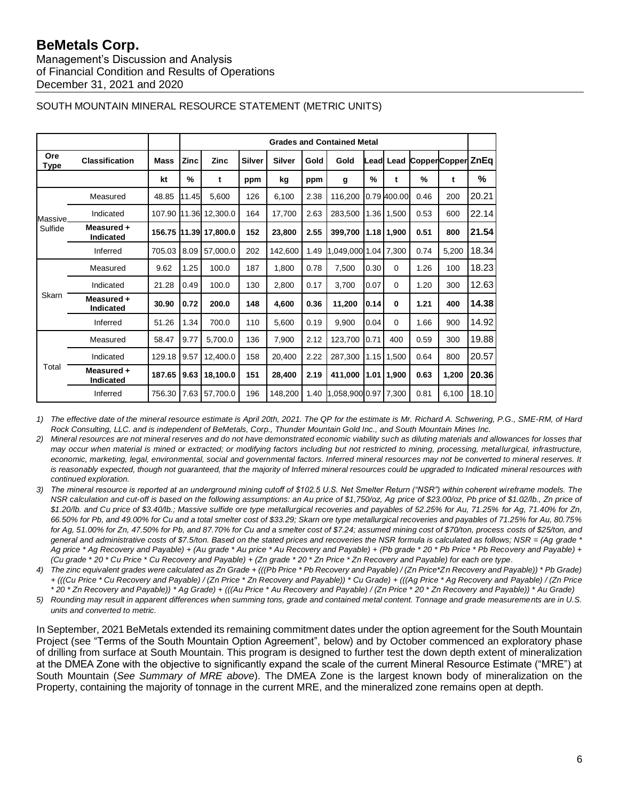Management's Discussion and Analysis of Financial Condition and Results of Operations December 31, 2021 and 2020

|                |                                |              | <b>Grades and Contained Metal</b> |             |               |               |      |                      |       |             |                    |       |       |
|----------------|--------------------------------|--------------|-----------------------------------|-------------|---------------|---------------|------|----------------------|-------|-------------|--------------------|-------|-------|
| Ore<br>Type    | <b>Classification</b>          | <b>Mass</b>  | Zinc                              | <b>Zinc</b> | <b>Silver</b> | <b>Silver</b> | Gold | Gold                 | Leadl | Lead        | Copper Copper ZnEq |       |       |
|                |                                | kt           | %                                 | t           | ppm           | kg            | ppm  | g                    | %     | t           | $\frac{9}{6}$      | t     | %     |
|                | Measured                       | 48.85        | 11.45                             | 5,600       | 126           | 6,100         | 2.38 | 116,200              |       | 0.79 400.00 | 0.46               | 200   | 20.21 |
| <b>Massive</b> | Indicated                      | 107.90 11.36 |                                   | 12,300.0    | 164           | 17,700        | 2.63 | 283,500              |       | 1.36 1.500  | 0.53               | 600   | 22.14 |
| Sulfide        | Measured +<br><b>Indicated</b> | 156.75 11.39 |                                   | 17,800.0    | 152           | 23,800        | 2.55 | 399,700              |       | 1.18 1.900  | 0.51               | 800   | 21.54 |
|                | Inferred                       | 705.03       | 8.09                              | 57.000.0    | 202           | 142,600       | 1.49 | 1,049,000            |       | 1.04 7.300  | 0.74               | 5,200 | 18.34 |
|                | Measured                       | 9.62         | 1.25                              | 100.0       | 187           | 1.800         | 0.78 | 7,500                | 0.30  | $\mathbf 0$ | 1.26               | 100   | 18.23 |
|                | Indicated                      | 21.28        | 0.49                              | 100.0       | 130           | 2,800         | 0.17 | 3.700                | 0.07  | $\mathbf 0$ | 1.20               | 300   | 12.63 |
| Skarn          | Measured +<br>Indicated        | 30.90        | 0.72                              | 200.0       | 148           | 4,600         | 0.36 | 11,200               | 0.14  | $\mathbf 0$ | 1.21               | 400   | 14.38 |
|                | Inferred                       | 51.26        | 1.34                              | 700.0       | 110           | 5,600         | 0.19 | 9,900                | 0.04  | $\Omega$    | 1.66               | 900   | 14.92 |
|                | Measured                       | 58.47        | 9.77                              | 5,700.0     | 136           | 7,900         | 2.12 | 123,700              | 0.71  | 400         | 0.59               | 300   | 19.88 |
|                | Indicated                      | 129.18       | 9.57                              | 12,400.0    | 158           | 20,400        | 2.22 | 287,300              | 1.15  | 1,500       | 0.64               | 800   | 20.57 |
| Total          | Measured +<br><b>Indicated</b> | 187.65       | 9.63                              | 18,100.0    | 151           | 28,400        | 2.19 | 411,000              | 1.01  | 1,900       | 0.63               | 1,200 | 20.36 |
|                | Inferred                       | 756.30 7.63  |                                   | 57,700.0    | 196           | 148,200       | 1.40 | 1,058,900 0.97 7,300 |       |             | 0.81               | 6,100 | 18.10 |

# SOUTH MOUNTAIN MINERAL RESOURCE STATEMENT (METRIC UNITS)

*1) The effective date of the mineral resource estimate is April 20th, 2021. The QP for the estimate is Mr. Richard A. Schwering, P.G., SME-RM, of Hard Rock Consulting, LLC. and is independent of BeMetals, Corp., Thunder Mountain Gold Inc., and South Mountain Mines Inc.*

*2) Mineral resources are not mineral reserves and do not have demonstrated economic viability such as diluting materials and allowances for losses that may occur when material is mined or extracted; or modifying factors including but not restricted to mining, processing, metallurgical, infrastructure, economic, marketing, legal, environmental, social and governmental factors. Inferred mineral resources may not be converted to mineral reserves. It is reasonably expected, though not guaranteed, that the majority of Inferred mineral resources could be upgraded to Indicated mineral resources with continued exploration.*

- *3) The mineral resource is reported at an underground mining cutoff of \$102.5 U.S. Net Smelter Return ("NSR") within coherent wireframe models. The NSR calculation and cut-off is based on the following assumptions: an Au price of \$1,750/oz, Ag price of \$23.00/oz, Pb price of \$1.02/lb., Zn price of \$1.20/lb. and Cu price of \$3.40/lb.; Massive sulfide ore type metallurgical recoveries and payables of 52.25% for Au, 71.25% for Ag, 71.40% for Zn, 66.50% for Pb, and 49.00% for Cu and a total smelter cost of \$33.29; Skarn ore type metallurgical recoveries and payables of 71.25% for Au, 80.75% for Ag, 51.00% for Zn, 47.50% for Pb, and 87.70% for Cu and a smelter cost of \$7.24; assumed mining cost of \$70/ton, process costs of \$25/ton, and general and administrative costs of \$7.5/ton. Based on the stated prices and recoveries the NSR formula is calculated as follows; NSR = (Ag grade \* Ag price \* Ag Recovery and Payable) + (Au grade \* Au price \* Au Recovery and Payable) + (Pb grade \* 20 \* Pb Price \* Pb Recovery and Payable) + (Cu grade \* 20 \* Cu Price \* Cu Recovery and Payable) + (Zn grade \* 20 \* Zn Price \* Zn Recovery and Payable) for each ore type.*
- *4) The zinc equivalent grades were calculated as Zn Grade + (((Pb Price \* Pb Recovery and Payable) / (Zn Price\*Zn Recovery and Payable)) \* Pb Grade) + (((Cu Price \* Cu Recovery and Payable) / (Zn Price \* Zn Recovery and Payable)) \* Cu Grade) + (((Ag Price \* Ag Recovery and Payable) / (Zn Price \* 20 \* Zn Recovery and Payable)) \* Ag Grade) + (((Au Price \* Au Recovery and Payable) / (Zn Price \* 20 \* Zn Recovery and Payable)) \* Au Grade)*
- *5) Rounding may result in apparent differences when summing tons, grade and contained metal content. Tonnage and grade measurements are in U.S. units and converted to metric.*

In September, 2021 BeMetals extended its remaining commitment dates under the option agreement for the South Mountain Project (see "Terms of the South Mountain Option Agreement", below) and by October commenced an exploratory phase of drilling from surface at South Mountain. This program is designed to further test the down depth extent of mineralization at the DMEA Zone with the objective to significantly expand the scale of the current Mineral Resource Estimate ("MRE") at South Mountain (*See Summary of MRE above*). The DMEA Zone is the largest known body of mineralization on the Property, containing the majority of tonnage in the current MRE, and the mineralized zone remains open at depth.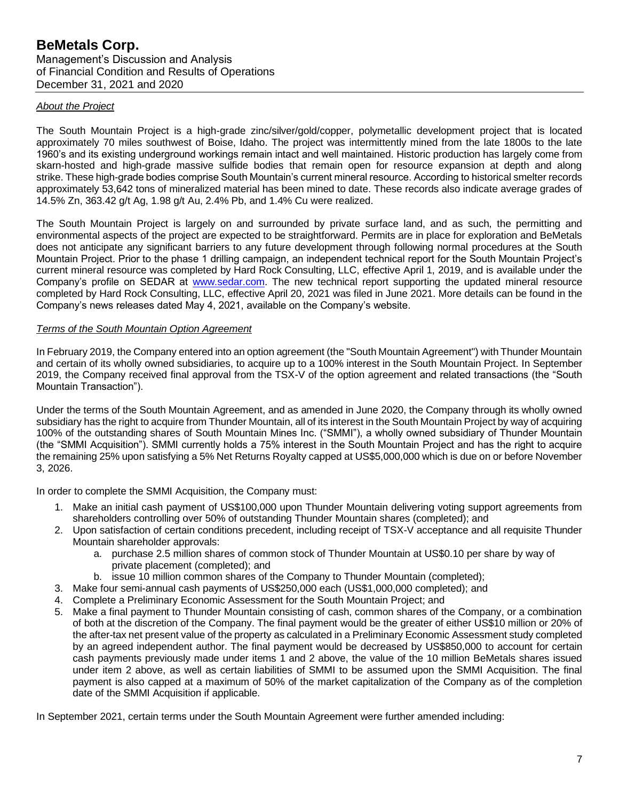#### *About the Project*

The South Mountain Project is a high-grade zinc/silver/gold/copper, polymetallic development project that is located approximately 70 miles southwest of Boise, Idaho. The project was intermittently mined from the late 1800s to the late 1960's and its existing underground workings remain intact and well maintained. Historic production has largely come from skarn-hosted and high-grade massive sulfide bodies that remain open for resource expansion at depth and along strike. These high-grade bodies comprise South Mountain's current mineral resource. According to historical smelter records approximately 53,642 tons of mineralized material has been mined to date. These records also indicate average grades of 14.5% Zn, 363.42 g/t Ag, 1.98 g/t Au, 2.4% Pb, and 1.4% Cu were realized.

The South Mountain Project is largely on and surrounded by private surface land, and as such, the permitting and environmental aspects of the project are expected to be straightforward. Permits are in place for exploration and BeMetals does not anticipate any significant barriers to any future development through following normal procedures at the South Mountain Project. Prior to the phase 1 drilling campaign, an independent technical report for the South Mountain Project's current mineral resource was completed by Hard Rock Consulting, LLC, effective April 1, 2019, and is available under the Company's profile on SEDAR at [www.sedar.com.](http://www.sedar.com/) The new technical report supporting the updated mineral resource completed by Hard Rock Consulting, LLC, effective April 20, 2021 was filed in June 2021. More details can be found in the Company's news releases dated May 4, 2021, available on the Company's website.

#### *Terms of the South Mountain Option Agreement*

In February 2019, the Company entered into an option agreement (the "South Mountain Agreement") with Thunder Mountain and certain of its wholly owned subsidiaries, to acquire up to a 100% interest in the South Mountain Project. In September 2019, the Company received final approval from the TSX-V of the option agreement and related transactions (the "South Mountain Transaction").

Under the terms of the South Mountain Agreement, and as amended in June 2020, the Company through its wholly owned subsidiary has the right to acquire from Thunder Mountain, all of its interest in the South Mountain Project by way of acquiring 100% of the outstanding shares of South Mountain Mines Inc. ("SMMI"), a wholly owned subsidiary of Thunder Mountain (the "SMMI Acquisition"). SMMI currently holds a 75% interest in the South Mountain Project and has the right to acquire the remaining 25% upon satisfying a 5% Net Returns Royalty capped at US\$5,000,000 which is due on or before November 3, 2026.

In order to complete the SMMI Acquisition, the Company must:

- 1. Make an initial cash payment of US\$100,000 upon Thunder Mountain delivering voting support agreements from shareholders controlling over 50% of outstanding Thunder Mountain shares (completed); and
- 2. Upon satisfaction of certain conditions precedent, including receipt of TSX-V acceptance and all requisite Thunder Mountain shareholder approvals:
	- a. purchase 2.5 million shares of common stock of Thunder Mountain at US\$0.10 per share by way of private placement (completed); and
	- b. issue 10 million common shares of the Company to Thunder Mountain (completed);
- 3. Make four semi-annual cash payments of US\$250,000 each (US\$1,000,000 completed); and
- 4. Complete a Preliminary Economic Assessment for the South Mountain Project; and
- 5. Make a final payment to Thunder Mountain consisting of cash, common shares of the Company, or a combination of both at the discretion of the Company. The final payment would be the greater of either US\$10 million or 20% of the after-tax net present value of the property as calculated in a Preliminary Economic Assessment study completed by an agreed independent author. The final payment would be decreased by US\$850,000 to account for certain cash payments previously made under items 1 and 2 above, the value of the 10 million BeMetals shares issued under item 2 above, as well as certain liabilities of SMMI to be assumed upon the SMMI Acquisition. The final payment is also capped at a maximum of 50% of the market capitalization of the Company as of the completion date of the SMMI Acquisition if applicable.

In September 2021, certain terms under the South Mountain Agreement were further amended including: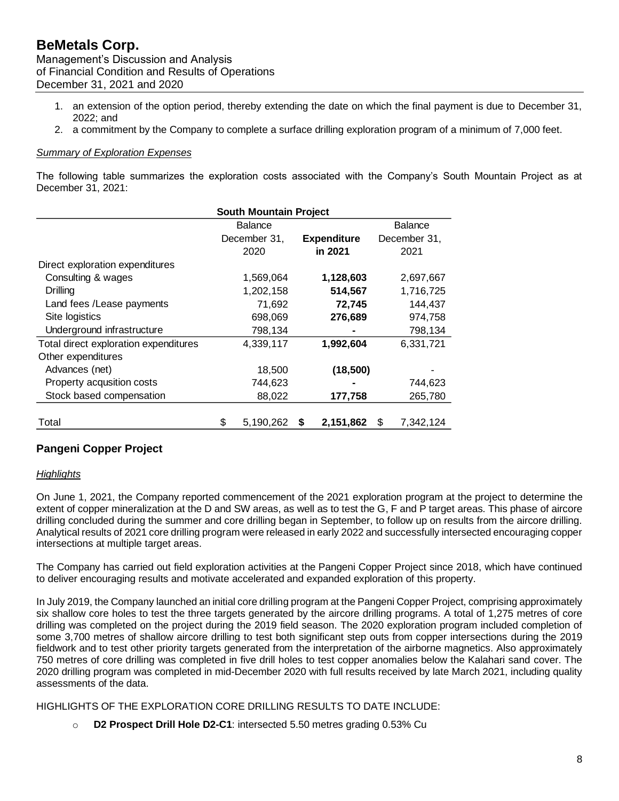- 1. an extension of the option period, thereby extending the date on which the final payment is due to December 31, 2022; and
- 2. a commitment by the Company to complete a surface drilling exploration program of a minimum of 7,000 feet.

### *Summary of Exploration Expenses*

The following table summarizes the exploration costs associated with the Company's South Mountain Project as at December 31, 2021:

|                                       | <b>South Mountain Project</b> |              |   |                    |              |                |  |  |
|---------------------------------------|-------------------------------|--------------|---|--------------------|--------------|----------------|--|--|
|                                       | <b>Balance</b>                |              |   |                    |              | <b>Balance</b> |  |  |
|                                       |                               | December 31, |   | <b>Expenditure</b> | December 31, |                |  |  |
|                                       |                               | 2020         |   | in 2021            |              | 2021           |  |  |
| Direct exploration expenditures       |                               |              |   |                    |              |                |  |  |
| Consulting & wages                    |                               | 1,569,064    |   | 1,128,603          |              | 2,697,667      |  |  |
| Drilling                              |                               | 1,202,158    |   | 514,567            |              | 1,716,725      |  |  |
| Land fees / Lease payments            |                               | 71,692       |   | 72,745             |              | 144,437        |  |  |
| Site logistics                        |                               | 698,069      |   | 276,689            |              | 974,758        |  |  |
| Underground infrastructure            |                               | 798,134      |   |                    |              | 798,134        |  |  |
| Total direct exploration expenditures |                               | 4,339,117    |   | 1,992,604          |              | 6,331,721      |  |  |
| Other expenditures                    |                               |              |   |                    |              |                |  |  |
| Advances (net)                        |                               | 18,500       |   | (18, 500)          |              |                |  |  |
| Property acqusition costs             |                               | 744,623      |   |                    |              | 744,623        |  |  |
| Stock based compensation              |                               | 88,022       |   | 177,758            |              | 265,780        |  |  |
| Total                                 | \$                            | 5,190,262    | S | 2,151,862          | \$           | 7,342,124      |  |  |

# **Pangeni Copper Project**

#### *Highlights*

On June 1, 2021, the Company reported commencement of the 2021 exploration program at the project to determine the extent of copper mineralization at the D and SW areas, as well as to test the G, F and P target areas. This phase of aircore drilling concluded during the summer and core drilling began in September, to follow up on results from the aircore drilling. Analytical results of 2021 core drilling program were released in early 2022 and successfully intersected encouraging copper intersections at multiple target areas.

The Company has carried out field exploration activities at the Pangeni Copper Project since 2018, which have continued to deliver encouraging results and motivate accelerated and expanded exploration of this property.

In July 2019, the Company launched an initial core drilling program at the Pangeni Copper Project, comprising approximately six shallow core holes to test the three targets generated by the aircore drilling programs. A total of 1,275 metres of core drilling was completed on the project during the 2019 field season. The 2020 exploration program included completion of some 3,700 metres of shallow aircore drilling to test both significant step outs from copper intersections during the 2019 fieldwork and to test other priority targets generated from the interpretation of the airborne magnetics. Also approximately 750 metres of core drilling was completed in five drill holes to test copper anomalies below the Kalahari sand cover. The 2020 drilling program was completed in mid-December 2020 with full results received by late March 2021, including quality assessments of the data.

HIGHLIGHTS OF THE EXPLORATION CORE DRILLING RESULTS TO DATE INCLUDE:

o **D2 Prospect Drill Hole D2-C1**: intersected 5.50 metres grading 0.53% Cu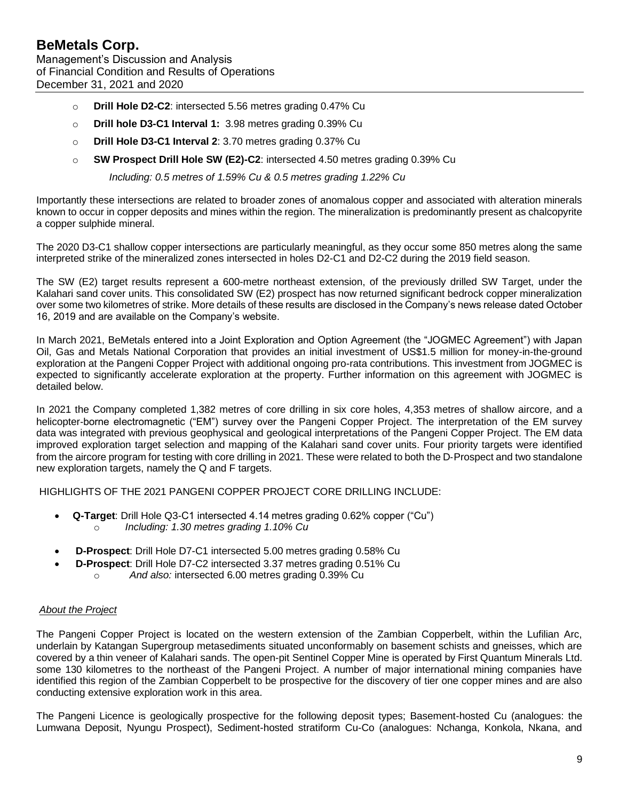- o **Drill Hole D2-C2**: intersected 5.56 metres grading 0.47% Cu
- o **Drill hole D3-C1 Interval 1:** 3.98 metres grading 0.39% Cu
- o **Drill Hole D3-C1 Interval 2**: 3.70 metres grading 0.37% Cu
- o **SW Prospect Drill Hole SW (E2)-C2**: intersected 4.50 metres grading 0.39% Cu

*Including: 0.5 metres of 1.59% Cu & 0.5 metres grading 1.22% Cu*

Importantly these intersections are related to broader zones of anomalous copper and associated with alteration minerals known to occur in copper deposits and mines within the region. The mineralization is predominantly present as chalcopyrite a copper sulphide mineral.

The 2020 D3-C1 shallow copper intersections are particularly meaningful, as they occur some 850 metres along the same interpreted strike of the mineralized zones intersected in holes D2-C1 and D2-C2 during the 2019 field season.

The SW (E2) target results represent a 600-metre northeast extension, of the previously drilled SW Target, under the Kalahari sand cover units. This consolidated SW (E2) prospect has now returned significant bedrock copper mineralization over some two kilometres of strike. More details of these results are disclosed in the Company's news release dated October 16, 2019 and are available on the Company's website.

In March 2021, BeMetals entered into a Joint Exploration and Option Agreement (the "JOGMEC Agreement") with Japan Oil, Gas and Metals National Corporation that provides an initial investment of US\$1.5 million for money-in-the-ground exploration at the Pangeni Copper Project with additional ongoing pro-rata contributions. This investment from JOGMEC is expected to significantly accelerate exploration at the property. Further information on this agreement with JOGMEC is detailed below.

In 2021 the Company completed 1,382 metres of core drilling in six core holes, 4,353 metres of shallow aircore, and a helicopter-borne electromagnetic ("EM") survey over the Pangeni Copper Project. The interpretation of the EM survey data was integrated with previous geophysical and geological interpretations of the Pangeni Copper Project. The EM data improved exploration target selection and mapping of the Kalahari sand cover units. Four priority targets were identified from the aircore program for testing with core drilling in 2021. These were related to both the D-Prospect and two standalone new exploration targets, namely the Q and F targets.

HIGHLIGHTS OF THE 2021 PANGENI COPPER PROJECT CORE DRILLING INCLUDE:

- **Q-Target**: Drill Hole Q3-C1 intersected 4.14 metres grading 0.62% copper ("Cu") o *Including: 1.30 metres grading 1.10% Cu*
- **D-Prospect**: Drill Hole D7-C1 intersected 5.00 metres grading 0.58% Cu
	- **D-Prospect**: Drill Hole D7-C2 intersected 3.37 metres grading 0.51% Cu
		- o *And also:* intersected 6.00 metres grading 0.39% Cu

#### *About the Project*

The Pangeni Copper Project is located on the western extension of the Zambian Copperbelt, within the Lufilian Arc, underlain by Katangan Supergroup metasediments situated unconformably on basement schists and gneisses, which are covered by a thin veneer of Kalahari sands. The open-pit Sentinel Copper Mine is operated by First Quantum Minerals Ltd. some 130 kilometres to the northeast of the Pangeni Project. A number of major international mining companies have identified this region of the Zambian Copperbelt to be prospective for the discovery of tier one copper mines and are also conducting extensive exploration work in this area.

The Pangeni Licence is geologically prospective for the following deposit types; Basement-hosted Cu (analogues: the Lumwana Deposit, Nyungu Prospect), Sediment-hosted stratiform Cu-Co (analogues: Nchanga, Konkola, Nkana, and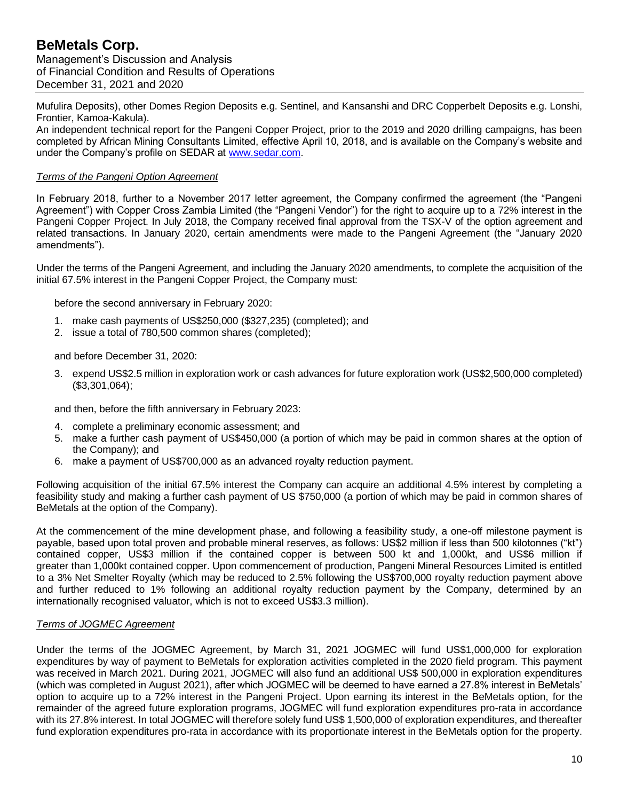Mufulira Deposits), other Domes Region Deposits e.g. Sentinel, and Kansanshi and DRC Copperbelt Deposits e.g. Lonshi, Frontier, Kamoa-Kakula).

An independent technical report for the Pangeni Copper Project, prior to the 2019 and 2020 drilling campaigns, has been completed by African Mining Consultants Limited, effective April 10, 2018, and is available on the Company's website and under the Company's profile on SEDAR at [www.sedar.com.](http://www.sedar.com/)

### *Terms of the Pangeni Option Agreement*

In February 2018, further to a November 2017 letter agreement, the Company confirmed the agreement (the "Pangeni Agreement") with Copper Cross Zambia Limited (the "Pangeni Vendor") for the right to acquire up to a 72% interest in the Pangeni Copper Project. In July 2018, the Company received final approval from the TSX-V of the option agreement and related transactions. In January 2020, certain amendments were made to the Pangeni Agreement (the "January 2020 amendments").

Under the terms of the Pangeni Agreement, and including the January 2020 amendments, to complete the acquisition of the initial 67.5% interest in the Pangeni Copper Project, the Company must:

before the second anniversary in February 2020:

- 1. make cash payments of US\$250,000 (\$327,235) (completed); and
- 2. issue a total of 780,500 common shares (completed);

and before December 31, 2020:

3. expend US\$2.5 million in exploration work or cash advances for future exploration work (US\$2,500,000 completed) (\$3,301,064);

and then, before the fifth anniversary in February 2023:

- 4. complete a preliminary economic assessment; and
- 5. make a further cash payment of US\$450,000 (a portion of which may be paid in common shares at the option of the Company); and
- 6. make a payment of US\$700,000 as an advanced royalty reduction payment.

Following acquisition of the initial 67.5% interest the Company can acquire an additional 4.5% interest by completing a feasibility study and making a further cash payment of US \$750,000 (a portion of which may be paid in common shares of BeMetals at the option of the Company).

At the commencement of the mine development phase, and following a feasibility study, a one-off milestone payment is payable, based upon total proven and probable mineral reserves, as follows: US\$2 million if less than 500 kilotonnes ("kt") contained copper, US\$3 million if the contained copper is between 500 kt and 1,000kt, and US\$6 million if greater than 1,000kt contained copper. Upon commencement of production, Pangeni Mineral Resources Limited is entitled to a 3% Net Smelter Royalty (which may be reduced to 2.5% following the US\$700,000 royalty reduction payment above and further reduced to 1% following an additional royalty reduction payment by the Company, determined by an internationally recognised valuator, which is not to exceed US\$3.3 million).

## *Terms of JOGMEC Agreement*

Under the terms of the JOGMEC Agreement, by March 31, 2021 JOGMEC will fund US\$1,000,000 for exploration expenditures by way of payment to BeMetals for exploration activities completed in the 2020 field program. This payment was received in March 2021. During 2021, JOGMEC will also fund an additional US\$ 500,000 in exploration expenditures (which was completed in August 2021), after which JOGMEC will be deemed to have earned a 27.8% interest in BeMetals' option to acquire up to a 72% interest in the Pangeni Project. Upon earning its interest in the BeMetals option, for the remainder of the agreed future exploration programs, JOGMEC will fund exploration expenditures pro-rata in accordance with its 27.8% interest. In total JOGMEC will therefore solely fund US\$ 1,500,000 of exploration expenditures, and thereafter fund exploration expenditures pro-rata in accordance with its proportionate interest in the BeMetals option for the property.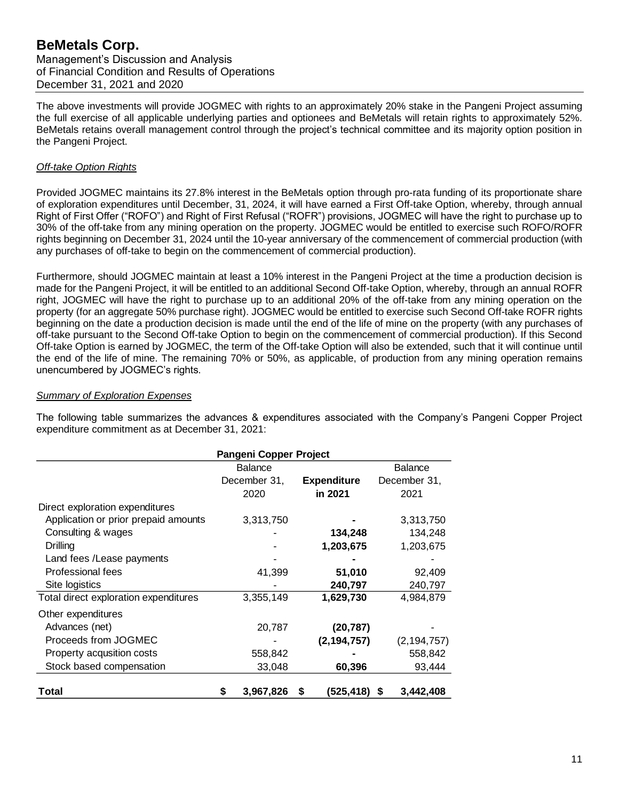Management's Discussion and Analysis of Financial Condition and Results of Operations December 31, 2021 and 2020

The above investments will provide JOGMEC with rights to an approximately 20% stake in the Pangeni Project assuming the full exercise of all applicable underlying parties and optionees and BeMetals will retain rights to approximately 52%. BeMetals retains overall management control through the project's technical committee and its majority option position in the Pangeni Project.

### *Off-take Option Rights*

Provided JOGMEC maintains its 27.8% interest in the BeMetals option through pro-rata funding of its proportionate share of exploration expenditures until December, 31, 2024, it will have earned a First Off-take Option, whereby, through annual Right of First Offer ("ROFO") and Right of First Refusal ("ROFR") provisions, JOGMEC will have the right to purchase up to 30% of the off-take from any mining operation on the property. JOGMEC would be entitled to exercise such ROFO/ROFR rights beginning on December 31, 2024 until the 10-year anniversary of the commencement of commercial production (with any purchases of off-take to begin on the commencement of commercial production).

Furthermore, should JOGMEC maintain at least a 10% interest in the Pangeni Project at the time a production decision is made for the Pangeni Project, it will be entitled to an additional Second Off-take Option, whereby, through an annual ROFR right, JOGMEC will have the right to purchase up to an additional 20% of the off-take from any mining operation on the property (for an aggregate 50% purchase right). JOGMEC would be entitled to exercise such Second Off-take ROFR rights beginning on the date a production decision is made until the end of the life of mine on the property (with any purchases of off-take pursuant to the Second Off-take Option to begin on the commencement of commercial production). If this Second Off-take Option is earned by JOGMEC, the term of the Off-take Option will also be extended, such that it will continue until the end of the life of mine. The remaining 70% or 50%, as applicable, of production from any mining operation remains unencumbered by JOGMEC's rights.

#### *Summary of Exploration Expenses*

The following table summarizes the advances & expenditures associated with the Company's Pangeni Copper Project expenditure commitment as at December 31, 2021:

|                                       | Pangeni Copper Project |                |   |                    |                |  |
|---------------------------------------|------------------------|----------------|---|--------------------|----------------|--|
|                                       |                        | <b>Balance</b> |   |                    | <b>Balance</b> |  |
|                                       |                        | December 31,   |   | <b>Expenditure</b> | December 31,   |  |
|                                       |                        | 2020           |   | in 2021            | 2021           |  |
| Direct exploration expenditures       |                        |                |   |                    |                |  |
| Application or prior prepaid amounts  |                        | 3,313,750      |   |                    | 3,313,750      |  |
| Consulting & wages                    |                        |                |   | 134,248            | 134,248        |  |
| Drilling                              |                        |                |   | 1,203,675          | 1,203,675      |  |
| Land fees / Lease payments            |                        |                |   |                    |                |  |
| Professional fees                     |                        | 41,399         |   | 51,010             | 92,409         |  |
| Site logistics                        |                        |                |   | 240,797            | 240,797        |  |
| Total direct exploration expenditures |                        | 3,355,149      |   | 1,629,730          | 4,984,879      |  |
| Other expenditures                    |                        |                |   |                    |                |  |
| Advances (net)                        |                        | 20,787         |   | (20, 787)          |                |  |
| Proceeds from JOGMEC                  |                        |                |   | (2, 194, 757)      | (2, 194, 757)  |  |
| Property acqusition costs             |                        | 558,842        |   |                    | 558,842        |  |
| Stock based compensation              |                        | 33,048         |   | 60,396             | 93,444         |  |
| Total                                 | S                      | 3,967,826      | S | (525,418)          | 3,442,408<br>S |  |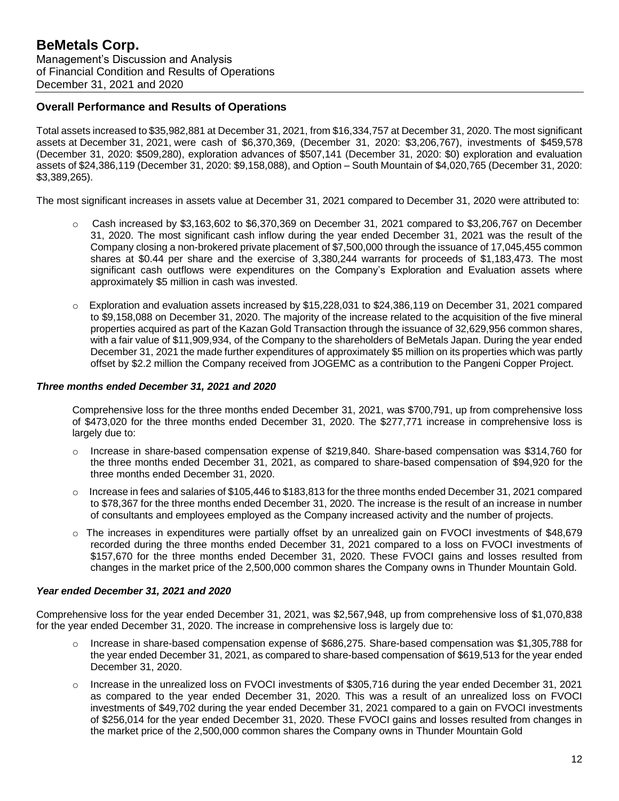## **Overall Performance and Results of Operations**

Total assets increased to \$35,982,881 at December 31, 2021, from \$16,334,757 at December 31, 2020. The most significant assets at December 31, 2021, were cash of \$6,370,369, (December 31, 2020: \$3,206,767), investments of \$459,578 (December 31, 2020: \$509,280), exploration advances of \$507,141 (December 31, 2020: \$0) exploration and evaluation assets of \$24,386,119 (December 31, 2020: \$9,158,088), and Option – South Mountain of \$4,020,765 (December 31, 2020: \$3,389,265).

The most significant increases in assets value at December 31, 2021 compared to December 31, 2020 were attributed to:

- $\circ$  Cash increased by \$3,163,602 to \$6,370,369 on December 31, 2021 compared to \$3,206,767 on December 31, 2020. The most significant cash inflow during the year ended December 31, 2021 was the result of the Company closing a non-brokered private placement of \$7,500,000 through the issuance of 17,045,455 common shares at \$0.44 per share and the exercise of 3,380,244 warrants for proceeds of \$1,183,473. The most significant cash outflows were expenditures on the Company's Exploration and Evaluation assets where approximately \$5 million in cash was invested.
- o Exploration and evaluation assets increased by \$15,228,031 to \$24,386,119 on December 31, 2021 compared to \$9,158,088 on December 31, 2020. The majority of the increase related to the acquisition of the five mineral properties acquired as part of the Kazan Gold Transaction through the issuance of 32,629,956 common shares, with a fair value of \$11,909,934, of the Company to the shareholders of BeMetals Japan. During the year ended December 31, 2021 the made further expenditures of approximately \$5 million on its properties which was partly offset by \$2.2 million the Company received from JOGEMC as a contribution to the Pangeni Copper Project.

#### *Three months ended December 31, 2021 and 2020*

Comprehensive loss for the three months ended December 31, 2021, was \$700,791, up from comprehensive loss of \$473,020 for the three months ended December 31, 2020. The \$277,771 increase in comprehensive loss is largely due to:

- Increase in share-based compensation expense of \$219,840. Share-based compensation was \$314,760 for the three months ended December 31, 2021, as compared to share-based compensation of \$94,920 for the three months ended December 31, 2020.
- $\circ$  Increase in fees and salaries of \$105,446 to \$183,813 for the three months ended December 31, 2021 compared to \$78,367 for the three months ended December 31, 2020. The increase is the result of an increase in number of consultants and employees employed as the Company increased activity and the number of projects.
- o The increases in expenditures were partially offset by an unrealized gain on FVOCI investments of \$48,679 recorded during the three months ended December 31, 2021 compared to a loss on FVOCI investments of \$157,670 for the three months ended December 31, 2020. These FVOCI gains and losses resulted from changes in the market price of the 2,500,000 common shares the Company owns in Thunder Mountain Gold.

#### *Year ended December 31, 2021 and 2020*

Comprehensive loss for the year ended December 31, 2021, was \$2,567,948, up from comprehensive loss of \$1,070,838 for the year ended December 31, 2020. The increase in comprehensive loss is largely due to:

- o Increase in share-based compensation expense of \$686,275. Share-based compensation was \$1,305,788 for the year ended December 31, 2021, as compared to share-based compensation of \$619,513 for the year ended December 31, 2020.
- o Increase in the unrealized loss on FVOCI investments of \$305,716 during the year ended December 31, 2021 as compared to the year ended December 31, 2020. This was a result of an unrealized loss on FVOCI investments of \$49,702 during the year ended December 31, 2021 compared to a gain on FVOCI investments of \$256,014 for the year ended December 31, 2020. These FVOCI gains and losses resulted from changes in the market price of the 2,500,000 common shares the Company owns in Thunder Mountain Gold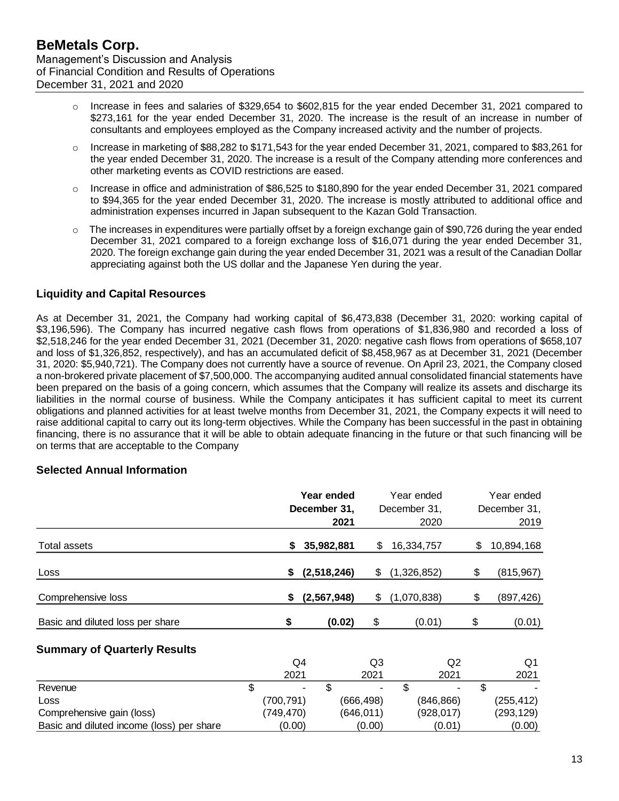- $\circ$  Increase in fees and salaries of \$329,654 to \$602,815 for the year ended December 31, 2021 compared to \$273,161 for the year ended December 31, 2020. The increase is the result of an increase in number of consultants and employees employed as the Company increased activity and the number of projects.
- $\circ$  Increase in marketing of \$88,282 to \$171,543 for the year ended December 31, 2021, compared to \$83,261 for the year ended December 31, 2020. The increase is a result of the Company attending more conferences and other marketing events as COVID restrictions are eased.
- $\circ$  Increase in office and administration of \$86,525 to \$180,890 for the year ended December 31, 2021 compared to \$94,365 for the year ended December 31, 2020. The increase is mostly attributed to additional office and administration expenses incurred in Japan subsequent to the Kazan Gold Transaction.
- $\circ$  The increases in expenditures were partially offset by a foreign exchange gain of \$90.726 during the year ended December 31, 2021 compared to a foreign exchange loss of \$16,071 during the year ended December 31, 2020. The foreign exchange gain during the year ended December 31, 2021 was a result of the Canadian Dollar appreciating against both the US dollar and the Japanese Yen during the year.

# **Liquidity and Capital Resources**

As at December 31, 2021, the Company had working capital of \$6,473,838 (December 31, 2020: working capital of \$3,196,596). The Company has incurred negative cash flows from operations of \$1,836,980 and recorded a loss of \$2,518,246 for the year ended December 31, 2021 (December 31, 2020: negative cash flows from operations of \$658,107 and loss of \$1,326,852, respectively), and has an accumulated deficit of \$8,458,967 as at December 31, 2021 (December 31, 2020: \$5,940,721). The Company does not currently have a source of revenue. On April 23, 2021, the Company closed a non-brokered private placement of \$7,500,000. The accompanying audited annual consolidated financial statements have been prepared on the basis of a going concern, which assumes that the Company will realize its assets and discharge its liabilities in the normal course of business. While the Company anticipates it has sufficient capital to meet its current obligations and planned activities for at least twelve months from December 31, 2021, the Company expects it will need to raise additional capital to carry out its long-term objectives. While the Company has been successful in the past in obtaining financing, there is no assurance that it will be able to obtain adequate financing in the future or that such financing will be on terms that are acceptable to the Company

## **Selected Annual Information**

|                                     |      | Year ended<br>December 31,<br>2021 |                | Year ended<br>December 31,<br>2020 |     | Year ended<br>December 31,<br>2019 |
|-------------------------------------|------|------------------------------------|----------------|------------------------------------|-----|------------------------------------|
| Total assets                        | S    | 35,982,881                         | \$             | 16,334,757                         | \$. | 10,894,168                         |
| Loss                                | \$   | (2,518,246)                        | \$             | (1,326,852)                        | \$  | (815, 967)                         |
| Comprehensive loss                  | \$   | (2, 567, 948)                      | \$             | (1,070,838)                        | \$  | (897,426)                          |
| Basic and diluted loss per share    | \$   | (0.02)                             | \$             | (0.01)                             | \$  | (0.01)                             |
| <b>Summary of Quarterly Results</b> | Q4   |                                    | Q <sub>3</sub> |                                    | Q2  | Q1                                 |
|                                     | 2021 |                                    | 2021           | 2021                               |     | 2021                               |

|                                           | 2021       | 2021       | 2021       | 2021       |
|-------------------------------------------|------------|------------|------------|------------|
| Revenue                                   | $\sim$     |            | ۰.<br>۰    |            |
| Loss                                      | (700, 791) | (666, 498) | (846, 866) | (255,412)  |
| Comprehensive gain (loss)                 | (749,470)  | (646, 011) | (928, 017) | (293, 129) |
| Basic and diluted income (loss) per share | (0.00)     | (0.00)     | (0.01)     | (0.00)     |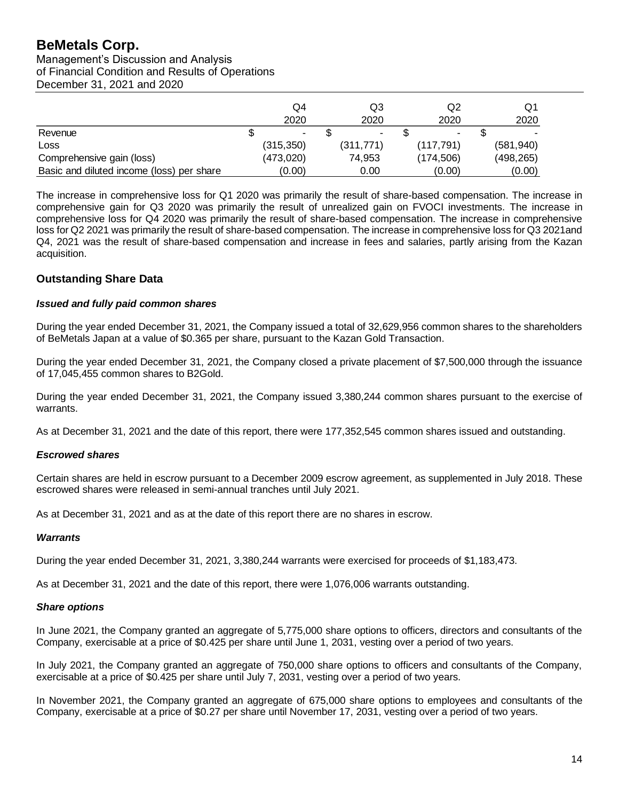Management's Discussion and Analysis of Financial Condition and Results of Operations December 31, 2021 and 2020

|                                           | Q4<br>2020 | Q3<br>2020 | Q2<br>2020               | Q1<br>2020 |
|-------------------------------------------|------------|------------|--------------------------|------------|
| Revenue                                   | ۰.         | ٠          | $\overline{\phantom{a}}$ |            |
| Loss                                      | (315, 350) | (311, 771) | (117, 791)               | (581, 940) |
| Comprehensive gain (loss)                 | (473,020)  | 74,953     | (174, 506)               | (498,265)  |
| Basic and diluted income (loss) per share | (0.00)     | 0.00       | (0.00)                   | (0.00)     |

The increase in comprehensive loss for Q1 2020 was primarily the result of share-based compensation. The increase in comprehensive gain for Q3 2020 was primarily the result of unrealized gain on FVOCI investments. The increase in comprehensive loss for Q4 2020 was primarily the result of share-based compensation. The increase in comprehensive loss for Q2 2021 was primarily the result of share-based compensation. The increase in comprehensive loss for Q3 2021and Q4, 2021 was the result of share-based compensation and increase in fees and salaries, partly arising from the Kazan acquisition.

# **Outstanding Share Data**

#### *Issued and fully paid common shares*

During the year ended December 31, 2021, the Company issued a total of 32,629,956 common shares to the shareholders of BeMetals Japan at a value of \$0.365 per share, pursuant to the Kazan Gold Transaction.

During the year ended December 31, 2021, the Company closed a private placement of \$7,500,000 through the issuance of 17,045,455 common shares to B2Gold.

During the year ended December 31, 2021, the Company issued 3,380,244 common shares pursuant to the exercise of warrants.

As at December 31, 2021 and the date of this report, there were 177,352,545 common shares issued and outstanding.

#### *Escrowed shares*

Certain shares are held in escrow pursuant to a December 2009 escrow agreement, as supplemented in July 2018. These escrowed shares were released in semi-annual tranches until July 2021.

As at December 31, 2021 and as at the date of this report there are no shares in escrow.

#### *Warrants*

During the year ended December 31, 2021, 3,380,244 warrants were exercised for proceeds of \$1,183,473.

As at December 31, 2021 and the date of this report, there were 1,076,006 warrants outstanding.

#### *Share options*

In June 2021, the Company granted an aggregate of 5,775,000 share options to officers, directors and consultants of the Company, exercisable at a price of \$0.425 per share until June 1, 2031, vesting over a period of two years.

In July 2021, the Company granted an aggregate of 750,000 share options to officers and consultants of the Company, exercisable at a price of \$0.425 per share until July 7, 2031, vesting over a period of two years.

In November 2021, the Company granted an aggregate of 675,000 share options to employees and consultants of the Company, exercisable at a price of \$0.27 per share until November 17, 2031, vesting over a period of two years.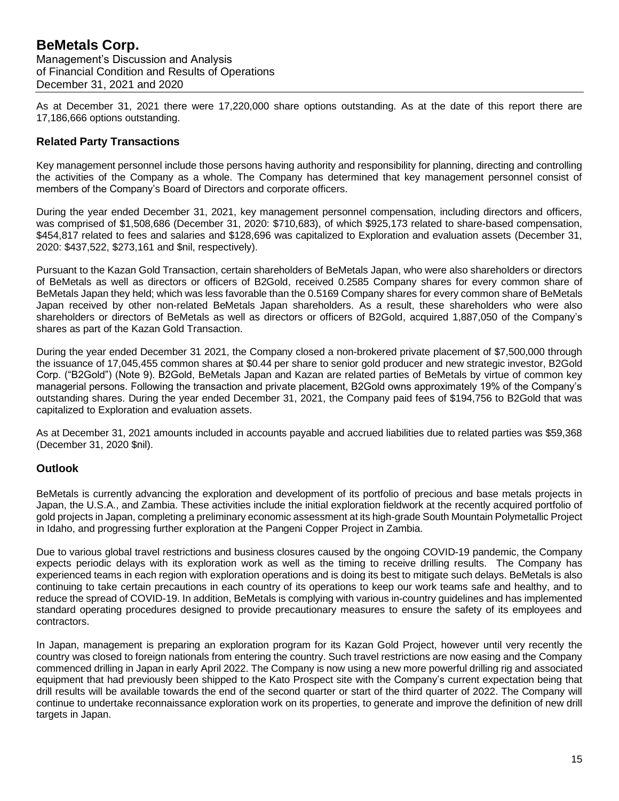As at December 31, 2021 there were 17,220,000 share options outstanding. As at the date of this report there are 17,186,666 options outstanding.

# **Related Party Transactions**

Key management personnel include those persons having authority and responsibility for planning, directing and controlling the activities of the Company as a whole. The Company has determined that key management personnel consist of members of the Company's Board of Directors and corporate officers.

During the year ended December 31, 2021, key management personnel compensation, including directors and officers, was comprised of \$1,508,686 (December 31, 2020: \$710,683), of which \$925,173 related to share-based compensation, \$454,817 related to fees and salaries and \$128,696 was capitalized to Exploration and evaluation assets (December 31, 2020: \$437,522, \$273,161 and \$nil, respectively).

Pursuant to the Kazan Gold Transaction, certain shareholders of BeMetals Japan, who were also shareholders or directors of BeMetals as well as directors or officers of B2Gold, received 0.2585 Company shares for every common share of BeMetals Japan they held; which was less favorable than the 0.5169 Company shares for every common share of BeMetals Japan received by other non-related BeMetals Japan shareholders. As a result, these shareholders who were also shareholders or directors of BeMetals as well as directors or officers of B2Gold, acquired 1,887,050 of the Company's shares as part of the Kazan Gold Transaction.

During the year ended December 31 2021, the Company closed a non-brokered private placement of \$7,500,000 through the issuance of 17,045,455 common shares at \$0.44 per share to senior gold producer and new strategic investor, B2Gold Corp. ("B2Gold") (Note 9). B2Gold, BeMetals Japan and Kazan are related parties of BeMetals by virtue of common key managerial persons. Following the transaction and private placement, B2Gold owns approximately 19% of the Company's outstanding shares. During the year ended December 31, 2021, the Company paid fees of \$194,756 to B2Gold that was capitalized to Exploration and evaluation assets.

As at December 31, 2021 amounts included in accounts payable and accrued liabilities due to related parties was \$59,368 (December 31, 2020 \$nil).

## **Outlook**

BeMetals is currently advancing the exploration and development of its portfolio of precious and base metals projects in Japan, the U.S.A., and Zambia. These activities include the initial exploration fieldwork at the recently acquired portfolio of gold projects in Japan, completing a preliminary economic assessment at its high-grade South Mountain Polymetallic Project in Idaho, and progressing further exploration at the Pangeni Copper Project in Zambia.

Due to various global travel restrictions and business closures caused by the ongoing COVID-19 pandemic, the Company expects periodic delays with its exploration work as well as the timing to receive drilling results. The Company has experienced teams in each region with exploration operations and is doing its best to mitigate such delays. BeMetals is also continuing to take certain precautions in each country of its operations to keep our work teams safe and healthy, and to reduce the spread of COVID-19. In addition, BeMetals is complying with various in-country guidelines and has implemented standard operating procedures designed to provide precautionary measures to ensure the safety of its employees and contractors.

In Japan, management is preparing an exploration program for its Kazan Gold Project, however until very recently the country was closed to foreign nationals from entering the country. Such travel restrictions are now easing and the Company commenced drilling in Japan in early April 2022. The Company is now using a new more powerful drilling rig and associated equipment that had previously been shipped to the Kato Prospect site with the Company's current expectation being that drill results will be available towards the end of the second quarter or start of the third quarter of 2022. The Company will continue to undertake reconnaissance exploration work on its properties, to generate and improve the definition of new drill targets in Japan.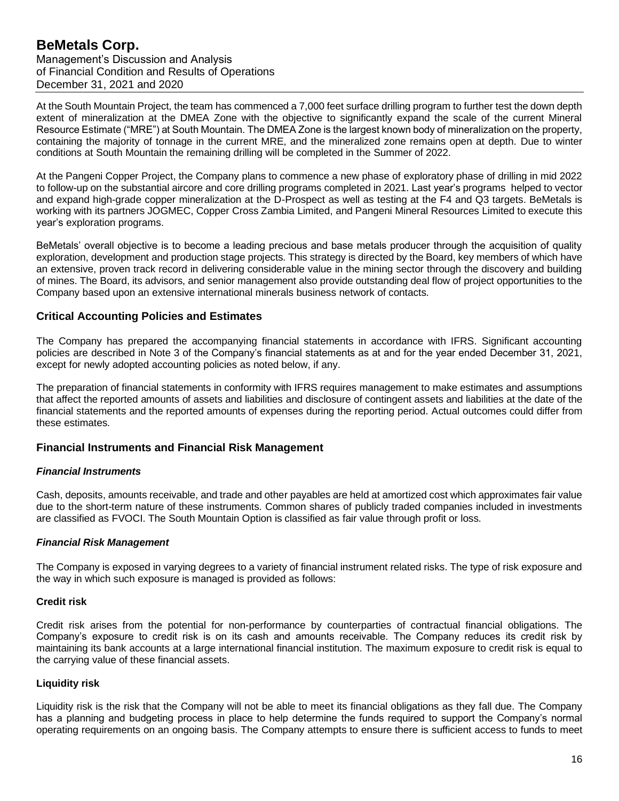At the South Mountain Project, the team has commenced a 7,000 feet surface drilling program to further test the down depth extent of mineralization at the DMEA Zone with the objective to significantly expand the scale of the current Mineral Resource Estimate ("MRE") at South Mountain. The DMEA Zone is the largest known body of mineralization on the property, containing the majority of tonnage in the current MRE, and the mineralized zone remains open at depth. Due to winter conditions at South Mountain the remaining drilling will be completed in the Summer of 2022.

At the Pangeni Copper Project, the Company plans to commence a new phase of exploratory phase of drilling in mid 2022 to follow-up on the substantial aircore and core drilling programs completed in 2021. Last year's programs helped to vector and expand high-grade copper mineralization at the D-Prospect as well as testing at the F4 and Q3 targets. BeMetals is working with its partners JOGMEC, Copper Cross Zambia Limited, and Pangeni Mineral Resources Limited to execute this year's exploration programs.

BeMetals' overall objective is to become a leading precious and base metals producer through the acquisition of quality exploration, development and production stage projects. This strategy is directed by the Board, key members of which have an extensive, proven track record in delivering considerable value in the mining sector through the discovery and building of mines. The Board, its advisors, and senior management also provide outstanding deal flow of project opportunities to the Company based upon an extensive international minerals business network of contacts.

# **Critical Accounting Policies and Estimates**

The Company has prepared the accompanying financial statements in accordance with IFRS. Significant accounting policies are described in Note 3 of the Company's financial statements as at and for the year ended December 31, 2021, except for newly adopted accounting policies as noted below, if any.

The preparation of financial statements in conformity with IFRS requires management to make estimates and assumptions that affect the reported amounts of assets and liabilities and disclosure of contingent assets and liabilities at the date of the financial statements and the reported amounts of expenses during the reporting period. Actual outcomes could differ from these estimates.

## **Financial Instruments and Financial Risk Management**

## *Financial Instruments*

Cash, deposits, amounts receivable, and trade and other payables are held at amortized cost which approximates fair value due to the short-term nature of these instruments. Common shares of publicly traded companies included in investments are classified as FVOCI. The South Mountain Option is classified as fair value through profit or loss.

## *Financial Risk Management*

The Company is exposed in varying degrees to a variety of financial instrument related risks. The type of risk exposure and the way in which such exposure is managed is provided as follows:

#### **Credit risk**

Credit risk arises from the potential for non-performance by counterparties of contractual financial obligations. The Company's exposure to credit risk is on its cash and amounts receivable. The Company reduces its credit risk by maintaining its bank accounts at a large international financial institution. The maximum exposure to credit risk is equal to the carrying value of these financial assets.

## **Liquidity risk**

Liquidity risk is the risk that the Company will not be able to meet its financial obligations as they fall due. The Company has a planning and budgeting process in place to help determine the funds required to support the Company's normal operating requirements on an ongoing basis. The Company attempts to ensure there is sufficient access to funds to meet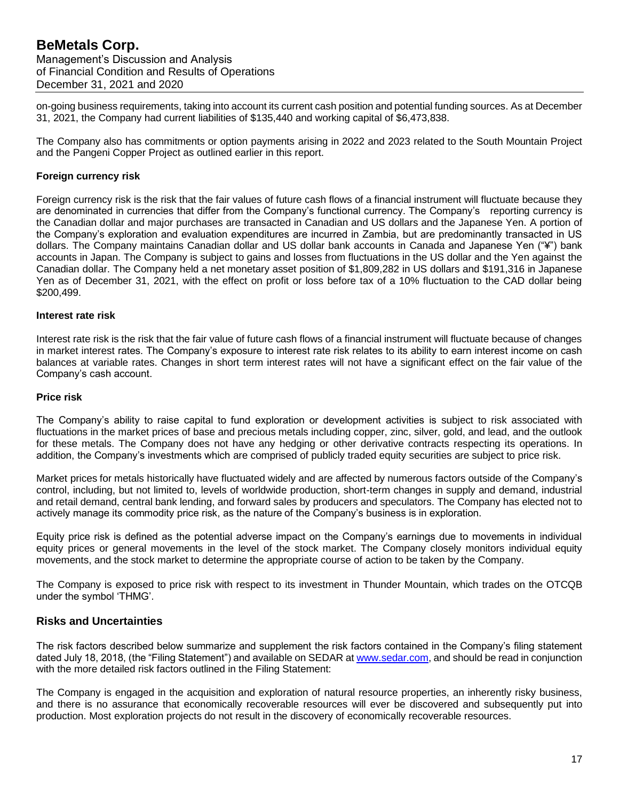on-going business requirements, taking into account its current cash position and potential funding sources. As at December 31, 2021, the Company had current liabilities of \$135,440 and working capital of \$6,473,838.

The Company also has commitments or option payments arising in 2022 and 2023 related to the South Mountain Project and the Pangeni Copper Project as outlined earlier in this report.

#### **Foreign currency risk**

Foreign currency risk is the risk that the fair values of future cash flows of a financial instrument will fluctuate because they are denominated in currencies that differ from the Company's functional currency. The Company's reporting currency is the Canadian dollar and major purchases are transacted in Canadian and US dollars and the Japanese Yen. A portion of the Company's exploration and evaluation expenditures are incurred in Zambia, but are predominantly transacted in US dollars. The Company maintains Canadian dollar and US dollar bank accounts in Canada and Japanese Yen ("¥") bank accounts in Japan. The Company is subject to gains and losses from fluctuations in the US dollar and the Yen against the Canadian dollar. The Company held a net monetary asset position of \$1,809,282 in US dollars and \$191,316 in Japanese Yen as of December 31, 2021, with the effect on profit or loss before tax of a 10% fluctuation to the CAD dollar being \$200,499.

#### **Interest rate risk**

Interest rate risk is the risk that the fair value of future cash flows of a financial instrument will fluctuate because of changes in market interest rates. The Company's exposure to interest rate risk relates to its ability to earn interest income on cash balances at variable rates. Changes in short term interest rates will not have a significant effect on the fair value of the Company's cash account.

#### **Price risk**

The Company's ability to raise capital to fund exploration or development activities is subject to risk associated with fluctuations in the market prices of base and precious metals including copper, zinc, silver, gold, and lead, and the outlook for these metals. The Company does not have any hedging or other derivative contracts respecting its operations. In addition, the Company's investments which are comprised of publicly traded equity securities are subject to price risk.

Market prices for metals historically have fluctuated widely and are affected by numerous factors outside of the Company's control, including, but not limited to, levels of worldwide production, short-term changes in supply and demand, industrial and retail demand, central bank lending, and forward sales by producers and speculators. The Company has elected not to actively manage its commodity price risk, as the nature of the Company's business is in exploration.

Equity price risk is defined as the potential adverse impact on the Company's earnings due to movements in individual equity prices or general movements in the level of the stock market. The Company closely monitors individual equity movements, and the stock market to determine the appropriate course of action to be taken by the Company.

The Company is exposed to price risk with respect to its investment in Thunder Mountain, which trades on the OTCQB under the symbol 'THMG'.

## **Risks and Uncertainties**

The risk factors described below summarize and supplement the risk factors contained in the Company's filing statement dated July 18, 2018, (the "Filing Statement") and available on SEDAR a[t www.sedar.com,](http://www.sedar.com/) and should be read in conjunction with the more detailed risk factors outlined in the Filing Statement:

The Company is engaged in the acquisition and exploration of natural resource properties, an inherently risky business, and there is no assurance that economically recoverable resources will ever be discovered and subsequently put into production. Most exploration projects do not result in the discovery of economically recoverable resources.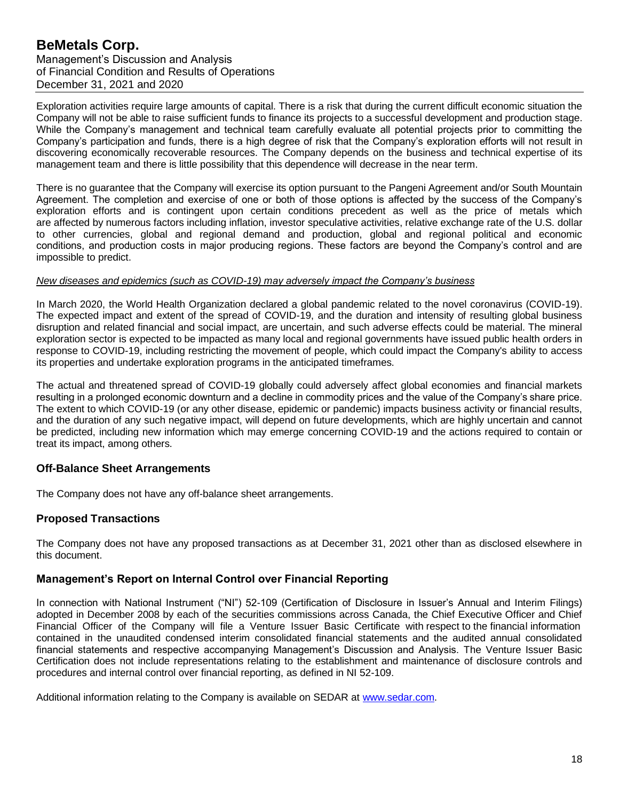Exploration activities require large amounts of capital. There is a risk that during the current difficult economic situation the Company will not be able to raise sufficient funds to finance its projects to a successful development and production stage. While the Company's management and technical team carefully evaluate all potential projects prior to committing the Company's participation and funds, there is a high degree of risk that the Company's exploration efforts will not result in discovering economically recoverable resources. The Company depends on the business and technical expertise of its management team and there is little possibility that this dependence will decrease in the near term.

There is no guarantee that the Company will exercise its option pursuant to the Pangeni Agreement and/or South Mountain Agreement. The completion and exercise of one or both of those options is affected by the success of the Company's exploration efforts and is contingent upon certain conditions precedent as well as the price of metals which are affected by numerous factors including inflation, investor speculative activities, relative exchange rate of the U.S. dollar to other currencies, global and regional demand and production, global and regional political and economic conditions, and production costs in major producing regions. These factors are beyond the Company's control and are impossible to predict.

#### *New diseases and epidemics (such as COVID-19) may adversely impact the Company's business*

In March 2020, the World Health Organization declared a global pandemic related to the novel coronavirus (COVID-19). The expected impact and extent of the spread of COVID-19, and the duration and intensity of resulting global business disruption and related financial and social impact, are uncertain, and such adverse effects could be material. The mineral exploration sector is expected to be impacted as many local and regional governments have issued public health orders in response to COVID-19, including restricting the movement of people, which could impact the Company's ability to access its properties and undertake exploration programs in the anticipated timeframes.

The actual and threatened spread of COVID-19 globally could adversely affect global economies and financial markets resulting in a prolonged economic downturn and a decline in commodity prices and the value of the Company's share price. The extent to which COVID-19 (or any other disease, epidemic or pandemic) impacts business activity or financial results, and the duration of any such negative impact, will depend on future developments, which are highly uncertain and cannot be predicted, including new information which may emerge concerning COVID-19 and the actions required to contain or treat its impact, among others.

## **Off-Balance Sheet Arrangements**

The Company does not have any off-balance sheet arrangements.

# **Proposed Transactions**

The Company does not have any proposed transactions as at December 31, 2021 other than as disclosed elsewhere in this document.

## **Management's Report on Internal Control over Financial Reporting**

In connection with National Instrument ("NI") 52-109 (Certification of Disclosure in Issuer's Annual and Interim Filings) adopted in December 2008 by each of the securities commissions across Canada, the Chief Executive Officer and Chief Financial Officer of the Company will file a Venture Issuer Basic Certificate with respect to the financial information contained in the unaudited condensed interim consolidated financial statements and the audited annual consolidated financial statements and respective accompanying Management's Discussion and Analysis. The Venture Issuer Basic Certification does not include representations relating to the establishment and maintenance of disclosure controls and procedures and internal control over financial reporting, as defined in NI 52-109.

Additional information relating to the Company is available on SEDAR at [www.sedar.com.](http://www.sedar.com/)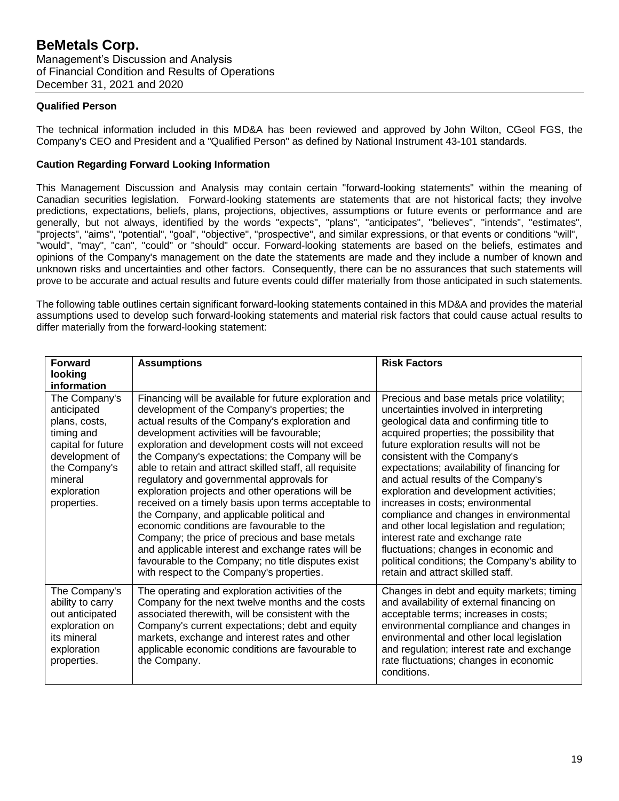## **Qualified Person**

The technical information included in this MD&A has been reviewed and approved by John Wilton, CGeol FGS, the Company's CEO and President and a "Qualified Person" as defined by National Instrument 43-101 standards.

### **Caution Regarding Forward Looking Information**

This Management Discussion and Analysis may contain certain "forward-looking statements" within the meaning of Canadian securities legislation. Forward-looking statements are statements that are not historical facts; they involve predictions, expectations, beliefs, plans, projections, objectives, assumptions or future events or performance and are generally, but not always, identified by the words "expects", "plans", "anticipates", "believes", "intends", "estimates", "projects", "aims", "potential", "goal", "objective", "prospective", and similar expressions, or that events or conditions "will", "would", "may", "can", "could" or "should" occur. Forward-looking statements are based on the beliefs, estimates and opinions of the Company's management on the date the statements are made and they include a number of known and unknown risks and uncertainties and other factors. Consequently, there can be no assurances that such statements will prove to be accurate and actual results and future events could differ materially from those anticipated in such statements.

The following table outlines certain significant forward-looking statements contained in this MD&A and provides the material assumptions used to develop such forward-looking statements and material risk factors that could cause actual results to differ materially from the forward-looking statement:

| <b>Forward</b>                                                                                                                                                | <b>Assumptions</b>                                                                                                                                                                                                                                                                                                                                                                                                                                                                                                                                                                                                                                                                                                                                                                                                                       | <b>Risk Factors</b>                                                                                                                                                                                                                                                                                                                                                                                                                                                                                                                                                                                                                                                                        |
|---------------------------------------------------------------------------------------------------------------------------------------------------------------|------------------------------------------------------------------------------------------------------------------------------------------------------------------------------------------------------------------------------------------------------------------------------------------------------------------------------------------------------------------------------------------------------------------------------------------------------------------------------------------------------------------------------------------------------------------------------------------------------------------------------------------------------------------------------------------------------------------------------------------------------------------------------------------------------------------------------------------|--------------------------------------------------------------------------------------------------------------------------------------------------------------------------------------------------------------------------------------------------------------------------------------------------------------------------------------------------------------------------------------------------------------------------------------------------------------------------------------------------------------------------------------------------------------------------------------------------------------------------------------------------------------------------------------------|
| looking<br>information                                                                                                                                        |                                                                                                                                                                                                                                                                                                                                                                                                                                                                                                                                                                                                                                                                                                                                                                                                                                          |                                                                                                                                                                                                                                                                                                                                                                                                                                                                                                                                                                                                                                                                                            |
| The Company's<br>anticipated<br>plans, costs,<br>timing and<br>capital for future<br>development of<br>the Company's<br>mineral<br>exploration<br>properties. | Financing will be available for future exploration and<br>development of the Company's properties; the<br>actual results of the Company's exploration and<br>development activities will be favourable;<br>exploration and development costs will not exceed<br>the Company's expectations; the Company will be<br>able to retain and attract skilled staff, all requisite<br>regulatory and governmental approvals for<br>exploration projects and other operations will be<br>received on a timely basis upon terms acceptable to<br>the Company, and applicable political and<br>economic conditions are favourable to the<br>Company; the price of precious and base metals<br>and applicable interest and exchange rates will be<br>favourable to the Company; no title disputes exist<br>with respect to the Company's properties. | Precious and base metals price volatility;<br>uncertainties involved in interpreting<br>geological data and confirming title to<br>acquired properties; the possibility that<br>future exploration results will not be<br>consistent with the Company's<br>expectations; availability of financing for<br>and actual results of the Company's<br>exploration and development activities;<br>increases in costs; environmental<br>compliance and changes in environmental<br>and other local legislation and regulation;<br>interest rate and exchange rate<br>fluctuations; changes in economic and<br>political conditions; the Company's ability to<br>retain and attract skilled staff. |
| The Company's<br>ability to carry<br>out anticipated<br>exploration on<br>its mineral<br>exploration<br>properties.                                           | The operating and exploration activities of the<br>Company for the next twelve months and the costs<br>associated therewith, will be consistent with the<br>Company's current expectations; debt and equity<br>markets, exchange and interest rates and other<br>applicable economic conditions are favourable to<br>the Company.                                                                                                                                                                                                                                                                                                                                                                                                                                                                                                        | Changes in debt and equity markets; timing<br>and availability of external financing on<br>acceptable terms; increases in costs;<br>environmental compliance and changes in<br>environmental and other local legislation<br>and regulation; interest rate and exchange<br>rate fluctuations; changes in economic<br>conditions.                                                                                                                                                                                                                                                                                                                                                            |